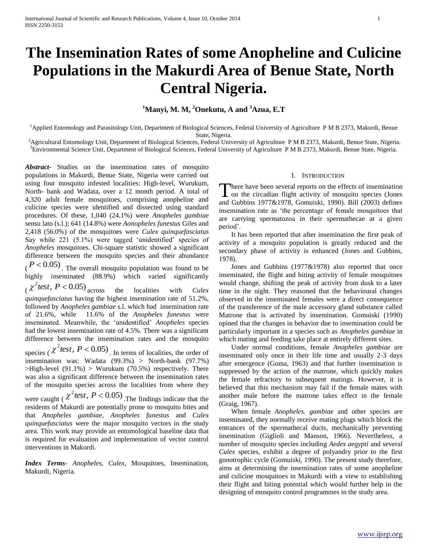# **The Insemination Rates of some Anopheline and Culicine Populations in the Makurdi Area of Benue State, North Central Nigeria.**

# **<sup>1</sup>Manyi, M. M, <sup>2</sup>Onekutu, A and <sup>3</sup>Azua, E.T**

<sup>1</sup>Applied Entomology and Parasitology Unit, Department of Biological Sciences, Federal University of Agriculture P M B 2373, Makurdi, Benue State, Nigeria.

<sup>2</sup>Agricultural Entomology Unit, Department of Biological Sciences, Federal University of Agriculture P M B 2373, Makurdi, Benue State, Nigeria. <sup>3</sup>Environmental Science Unit, Department of Biological Sciences, Federal University of Agriculture P M B 2373, Makurdi, Benue State, Nigeria.

*Abstract***-** Studies on the insemination rates of mosquito populations in Makurdi, Benue State, Nigeria were carried out using four mosquito infested localities: High-level, Wurukum, North- bank and Wadata, over a 12 month period. A total of 4,320 adult female mosquitoes, comprising anopheline and culicine species were identified and dissected using standard procedures. Of these, 1,040 (24.1%) were *Anopheles gambiae* sensu lato (s.l.); 641 (14.8%) were *Aonopheles funestus* Giles and 2,418 (56.0%) of the mosquitoes were *Culex quinquefasciatus* Say while 221 (5.1%) were tagged 'unidentified' species of *Anopheles* mosquitoes. Chi-square statistic showed a significant difference between the mosquito species and their abundance

 $(P < 0.05)$ . The overall mosquito population was found to be highly inseminated (88.9%) which varied significantly  $\chi^2$  test,  $P < 0.05$ ) across the localities with *Culex quinquefasciatus* having the highest insemination rate of 51.2%, followed by *Anopheles gambiae* s.l. which had insemination rate

of 21.6%, while 11.6% of the *Anopheles funestus* were inseminated. Meanwhile, the "unidentified" *Anopheles* species had the lowest insemination rate of 4.5%. There was a significant difference between the insemination rates and the mosquito

species ( $\chi^2$  test,  $P < 0.05$ ). In terms of localities, the order of insemination was: Wadata (99.3%) > North-bank (97.7%)  $>High-level (91.1%) > Wurukum (70.5%) respectively. There$ was also a significant difference between the insemination rates of the mosquito species across the localities from where they were caught ( $\chi^2$  *test*,  $P < 0.05$ ) The findings indicate that the residents of Makurdi are potentially prone to mosquito bites and that *Anopheles gambiae*, *Anopheles funestus* and *Culex quinquefasciatus* were the major mosquito vectors in the study area. This work may provide an entomological baseline data that is required for evaluation and implementation of vector control

*Index Terms*- *Anopheles, Culex*, Mosquitoes, Insemination, Makurdi, Nigeria.

interventions in Makurdi.

# I. INTRODUCTION

here have been several reports on the effects of insemination There have been several reports on the effects of insemination<br>on the circadian flight activity of mosquito species (Jones and Gubbins 1977&1978, Gomuiski, 1990). Bill (2003) defines insemination rate as "the percentage of female mosquitoes that are carrying spermatozoa in their spermathecae at a given period'.

 It has been reported that after insemination the first peak of activity of a mosquito population is greatly reduced and the secondary phase of activity is enhanced (Jones and Gubbins, 1978).

 Jones and Gubbins (1977&1978) also reported that once inseminated, the flight and biting activity of female mosquitoes would change, shifting the peak of activity from dusk to a later time in the night. They reasoned that the behavioural changes observed in the inseminated females were a direct consequence of the transference of the male accessory gland substance called Matrone that is activated by insemination. Gomuiski (1990) opined that the changes in behavior due to insemination could be particularly important in a species such as *Anopheles gambiae* in which mating and feeding take place at entirely different sites.

 Under normal conditions, female *Anopheles gambiae* are inseminated only once in their life time and usually 2-3 days after emergence (Goma, 1963) and that further insemination is suppressed by the action of the matrone, which quickly makes the female refractory to subsequent matings. However, it is believed that this mechanism may fail if the female mates with another male before the matrone takes effect in the female (Graig, 1967).

 When female *Anopheles. gambiae* and other species are inseminated, they normally receive mating plugs which block the entrances of the spermathecal ducts, mechanically preventing insemination (Giglioli and Manson, 1966). Nevertheless, a number of mosquito species including *Aedes aegypti* and several *Culex* species, exhibit a degree of polyandry prior to the first gonotrophic cycle (Gomuiski, 1990). The present study therefore, aims at determining the insemination rates of some anopheline and culicine mosquitoes in Makurdi with a view to establishing their flight and biting potential which would further help in the designing of mosquito control programmes in the study area.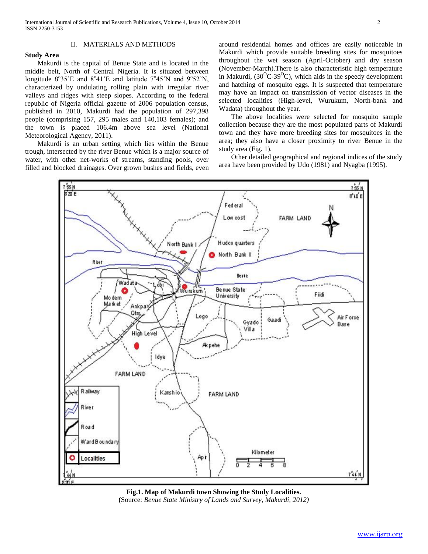# II. MATERIALS AND METHODS

# **Study Area**

 Makurdi is the capital of Benue State and is located in the middle belt, North of Central Nigeria. It is situated between longitude  $8^{\circ}35'E$  and  $8^{\circ}41'E$  and latitude  $7^{\circ}45'N$  and  $9^{\circ}52'N$ , characterized by undulating rolling plain with irregular river valleys and ridges with steep slopes. According to the federal republic of Nigeria official gazette of 2006 population census, published in 2010, Makurdi had the population of 297,398 people (comprising 157, 295 males and 140,103 females); and the town is placed 106.4m above sea level (National Meteorological Agency, 2011).

 Makurdi is an urban setting which lies within the Benue trough, intersected by the river Benue which is a major source of water, with other net-works of streams, standing pools, over filled and blocked drainages. Over grown bushes and fields, even around residential homes and offices are easily noticeable in Makurdi which provide suitable breeding sites for mosquitoes throughout the wet season (April-October) and dry season (November-March).There is also characteristic high temperature in Makurdi,  $(30^{\circ}C - 39^{\circ}C)$ , which aids in the speedy development and hatching of mosquito eggs. It is suspected that temperature may have an impact on transmission of vector diseases in the selected localities (High-level, Wurukum, North-bank and Wadata) throughout the year.

 The above localities were selected for mosquito sample collection because they are the most populated parts of Makurdi town and they have more breeding sites for mosquitoes in the area; they also have a closer proximity to river Benue in the study area (Fig. 1).

 Other detailed geographical and regional indices of the study area have been provided by Udo (1981) and Nyagba (1995).



**Fig.1. Map of Makurdi town Showing the Study Localities. (**Source: *Benue State Ministry of Lands and Survey, Makurdi, 2012)*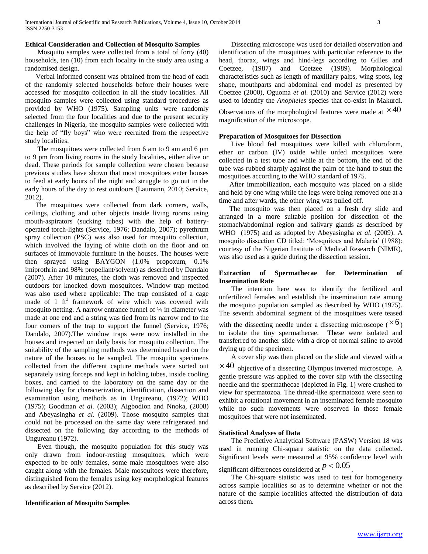# **Ethical Consideration and Collection of Mosquito Samples**

 Mosquito samples were collected from a total of forty (40) households, ten (10) from each locality in the study area using a randomised design.

 Verbal informed consent was obtained from the head of each of the randomly selected households before their houses were accessed for mosquito collection in all the study localities. All mosquito samples were collected using standard procedures as provided by WHO (1975). Sampling units were randomly selected from the four localities and due to the present security challenges in Nigeria, the mosquito samples were collected with the help of "fly boys" who were recruited from the respective study localities.

 The mosquitoes were collected from 6 am to 9 am and 6 pm to 9 pm from living rooms in the study localities, either alive or dead. These periods for sample collection were chosen because previous studies have shown that most mosquitoes enter houses to feed at early hours of the night and struggle to go out in the early hours of the day to rest outdoors (Laumann, 2010; Service, 2012).

 The mosquitoes were collected from dark corners, walls, ceilings, clothing and other objects inside living rooms using mouth-aspirators (sucking tubes) with the help of batteryoperated torch-lights (Service, 1976; Dandalo, 2007); pyrethrum spray collection (PSC) was also used for mosquito collection, which involved the laying of white cloth on the floor and on surfaces of immovable furniture in the houses. The houses were then sprayed using BAYGON (1.0% propoxum, 0.1% imiprothrin and 98% propellant/solvent) as described by Dandalo (2007). After 10 minutes, the cloth was removed and inspected outdoors for knocked down mosquitoes. Window trap method was also used where applicable: The trap consisted of a cage made of 1 ft<sup>3</sup> framework of wire which was covered with mosquito netting. A narrow entrance funnel of ¼ in diameter was made at one end and a string was tied from its narrow end to the four corners of the trap to support the funnel (Service, 1976; Dandalo, 2007).The window traps were now installed in the houses and inspected on daily basis for mosquito collection. The suitability of the sampling methods was determined based on the nature of the houses to be sampled. The mosquito specimens collected from the different capture methods were sorted out separately using forceps and kept in holding tubes, inside cooling boxes, and carried to the laboratory on the same day or the following day for characterization, identification, dissection and examination using methods as in Ungureanu, (1972); WHO (1975); Goodman *et al.* (2003); Aigbodion and Nnoka, (2008) and Abeyasingha *et al.* (2009). Those mosquito samples that could not be processed on the same day were refrigerated and dissected on the following day according to the methods of Ungureanu (1972).

 Even though, the mosquito population for this study was only drawn from indoor-resting mosquitoes, which were expected to be only females, some male mosquitoes were also caught along with the females. Male mosquitoes were therefore, distinguished from the females using key morphological features as described by Service (2012).

## **Identification of Mosquito Samples**

 Dissecting microscope was used for detailed observation and identification of the mosquitoes with particular reference to the head, thorax, wings and hind-legs according to Gilles and Coetzee, (1987) and Coetzee (1989). Morphological characteristics such as length of maxillary palps, wing spots, leg shape, mouthparts and abdominal end model as presented by Coetzee (2000), Oguoma *et al.* (2010) and Service (2012) were used to identify the *Anopheles* species that co-exist in Makurdi.

Observations of the morphological features were made at  $\times 40$ magnification of the microscope.

# **Preparation of Mosquitoes for Dissection**

 Live blood fed mosquitoes were killed with chloroform, ether or carbon (IV) oxide while unfed mosquitoes were collected in a test tube and while at the bottom, the end of the tube was rubbed sharply against the palm of the hand to stun the mosquitoes according to the WHO standard of 1975.

 After immobilization, each mosquito was placed on a slide and held by one wing while the legs were being removed one at a time and after wards, the other wing was pulled off.

 The mosquito was then placed on a fresh dry slide and arranged in a more suitable position for dissection of the stomach/abdominal region and salivary glands as described by WHO (1975) and as adopted by Abeyasingha *et al*. (2009). A mosquito dissection CD titled: "Mosquitoes and Malaria" (1988): courtesy of the Nigerian Institute of Medical Research (NIMR), was also used as a guide during the dissection session.

# **Extraction of Spermathecae for Determination of Insemination Rate**

 The intention here was to identify the fertilized and unfertilized females and establish the insemination rate among the mosquito population sampled as described by WHO (1975). The seventh abdominal segment of the mosquitoes were teased

with the dissecting needle under a dissecting microscope ( $\times$ 6) to isolate the tiny spermathecae. These were isolated and transferred to another slide with a drop of normal saline to avoid drying up of the specimen.

A cover slip was then placed on the slide and viewed with a

 $\times$  40 objective of a dissecting Olympus inverted microscope. A gentle pressure was applied to the cover slip with the dissecting needle and the spermathecae (depicted in Fig. 1) were crushed to view for spermatozoa. The thread-like spermatozoa were seen to exhibit a rotational movement in an inseminated female mosquito while no such movements were observed in those female mosquitoes that were not inseminated.

## **Statistical Analyses of Data**

The Predictive Analytical Software (PASW) Version 18 was used in running Chi-square statistic on the data collected. Significant levels were measured at 95% confidence level with

significant differences considered at  $p < 0.05$ .

 The Chi-square statistic was used to test for homogeneity across sample localities so as to determine whether or not the nature of the sample localities affected the distribution of data across them.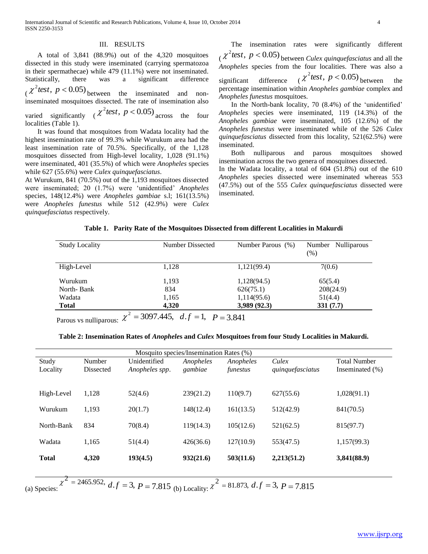## III. RESULTS

 A total of 3,841 (88.9%) out of the 4,320 mosquitoes dissected in this study were inseminated (carrying spermatozoa in their spermathecae) while 479 (11.1%) were not inseminated. Statistically, there was a significant difference  $\chi^2$  test,  $p < 0.05$ ) between the inseminated and noninseminated mosquitoes dissected. The rate of insemination also varied significantly ( $\chi^2$ test,  $p < 0.05$ ) across the four localities (Table 1).

 It was found that mosquitoes from Wadata locality had the highest insemination rate of 99.3% while Wurukum area had the least insemination rate of 70.5%. Specifically, of the 1,128 mosquitoes dissected from High-level locality, 1,028 (91.1%) were inseminated, 401 (35.5%) of which were *Anopheles* species while 627 (55.6%) were *Culex quinquefasciatus*.

At Wurukum, 841 (70.5%) out of the 1,193 mosquitoes dissected were inseminated; 20 (1.7%) were "unidentified" *Anopheles* species, 148(12.4%) were *Anopheles gambiae* s.l; 161(13.5%) were *Anopheles funestus* while 512 (42.9%) were *Culex quinquefasciatus* respectively.

 The insemination rates were significantly different  $\chi^2$  test,  $p < 0.05$ ) between *Culex quinquefasciatus* and all the *Anopheles* species from the four localities. There was also a

significant difference ( $\chi^2$ test,  $p < 0.05$ ) between the percentage insemination within *Anopheles gambiae* complex and *Anopheles funestus* mosquitoes.

 In the North-bank locality, 70 (8.4%) of the "unidentified" *Anopheles* species were inseminated, 119 (14.3%) of the *Anopheles gambiae* were inseminated, 105 (12.6%) of the *Anopheles funestus* were inseminated while of the 526 *Culex quinquefasciatus* dissected from this locality, 521(62.5%) were inseminated.

 Both nulliparous and parous mosquitoes showed insemination across the two genera of mosquitoes dissected. In the Wadata locality, a total of 604 (51.8%) out of the 610 *Anopheles* species dissected were inseminated whereas 553 (47.5%) out of the 555 *Culex quinquefasciatus* dissected were inseminated.

| Table 1. Parity Rate of the Mosquitoes Dissected from different Localities in Makurdi |
|---------------------------------------------------------------------------------------|
|---------------------------------------------------------------------------------------|

| <b>Study Locality</b> | Number Dissected | Number Parous (%) | Number Nulliparous<br>(% ) |  |
|-----------------------|------------------|-------------------|----------------------------|--|
| High-Level            | 1,128            | 1,121(99.4)       | 7(0.6)                     |  |
| Wurukum               | 1,193            | 1,128(94.5)       | 65(5.4)                    |  |
| North-Bank            | 834              | 626(75.1)         | 208(24.9)                  |  |
| Wadata                | 1,165            | 1,114(95.6)       | 51(4.4)                    |  |
| <b>Total</b>          | 4,320            | 3,989(92.3)       | 331(7.7)                   |  |

Parous vs nulliparous:  $\chi^2 = 3097.445$ ,  $d.f = 1$ ,  $P = 3.841$ 

|  |  | Table 2: Insemination Rates of Anopheles and Culex Mosquitoes from four Study Localities in Makurdi. |
|--|--|------------------------------------------------------------------------------------------------------|
|--|--|------------------------------------------------------------------------------------------------------|

| Mosquito species/Insemination Rates (%) |                  |                |           |           |                  |                     |  |  |  |
|-----------------------------------------|------------------|----------------|-----------|-----------|------------------|---------------------|--|--|--|
| Study                                   | Number           | Unidentified   | Anopheles | Anopheles | Culex            | <b>Total Number</b> |  |  |  |
| Locality                                | <b>Dissected</b> | Anopheles spp. | gambiae   | funestus  | quinquefasciatus | Inseminated $(\% )$ |  |  |  |
|                                         |                  |                |           |           |                  |                     |  |  |  |
| High-Level                              | 1,128            | 52(4.6)        | 239(21.2) | 110(9.7)  | 627(55.6)        | 1,028(91.1)         |  |  |  |
|                                         |                  |                |           |           |                  |                     |  |  |  |
| Wurukum                                 | 1.193            | 20(1.7)        | 148(12.4) | 161(13.5) | 512(42.9)        | 841(70.5)           |  |  |  |
|                                         |                  |                |           |           |                  |                     |  |  |  |
| North-Bank                              | 834              | 70(8.4)        | 119(14.3) | 105(12.6) | 521(62.5)        | 815(97.7)           |  |  |  |
|                                         |                  |                |           |           |                  |                     |  |  |  |
| Wadata                                  | 1,165            | 51(4.4)        | 426(36.6) | 127(10.9) | 553(47.5)        | 1,157(99.3)         |  |  |  |
| <b>Total</b>                            | 4,320            | 193(4.5)       | 932(21.6) | 503(11.6) | 2,213(51.2)      | 3,841(88.9)         |  |  |  |
|                                         |                  |                |           |           |                  |                     |  |  |  |
|                                         |                  |                |           |           |                  |                     |  |  |  |

(a) Species:  $\chi^2$  = 2465.952, *d.f* = 3, *P* = 7.815 (b) Locality:  $\chi^2$  = 81.873, *d.f* = 3, *P* = 7.815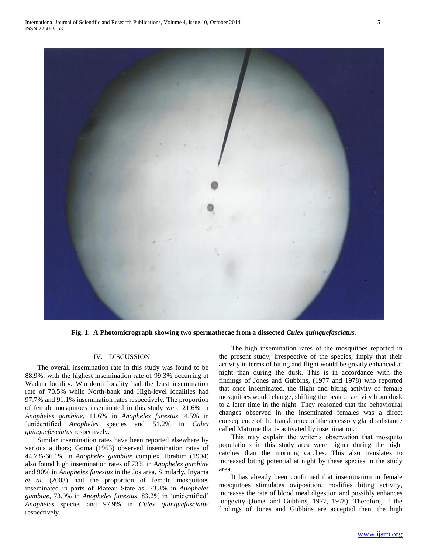

**Fig. 1. A Photomicrograph showing two spermathecae from a dissected** *Culex quinquefasciatus.*

## IV. DISCUSSION

 The overall insemination rate in this study was found to be 88.9%, with the highest insemination rate of 99.3% occurring at Wadata locality. Wurukum locality had the least insemination rate of 70.5% while North-bank and High-level localities had 97.7% and 91.1% insemination rates respectively. The proportion of female mosquitoes inseminated in this study were 21.6% in *Anopheles gambiae*, 11.6% in *Anopheles funestus*, 4.5% in 'unidentified *Anopheles* species and 51.2% in *Culex quinquefasciatus* respectively.

 Similar insemination rates have been reported elsewhere by various authors; Goma (1963) observed insemination rates of 44.7%-66.1% in *Anopheles gambiae* complex. Ibrahim (1994) also found high insemination rates of 73% in *Anopheles gambiae* and 90% in *Anopheles funestus* in the Jos area. Similarly, Inyama *et al*. (2003) had the proportion of female mosquitoes inseminated in parts of Plateau State as: 73.8% in *Anopheles gambiae*, 73.9% in *Anopheles funestus*, 83.2% in "unidentified" *Anopheles* species and 97.9% in *Culex quinquefasciatus* respectively.

 The high insemination rates of the mosquitoes reported in the present study, irrespective of the species, imply that their activity in terms of biting and flight would be greatly enhanced at night than during the dusk. This is in accordance with the findings of Jones and Gubbins, (1977 and 1978) who reported that once inseminated, the flight and biting activity of female mosquitoes would change, shifting the peak of activity from dusk to a later time in the night. They reasoned that the behavioural changes observed in the inseminated females was a direct consequence of the transference of the accessory gland substance called Matrone that is activated by insemination.

This may explain the writer's observation that mosquito populations in this study area were higher during the night catches than the morning catches. This also translates to increased biting potential at night by these species in the study area.

 It has already been confirmed that insemination in female mosquitoes stimulates oviposition, modifies biting activity, increases the rate of blood meal digestion and possibly enhances longevity (Jones and Gubbins, 1977, 1978). Therefore, if the findings of Jones and Gubbins are accepted then, the high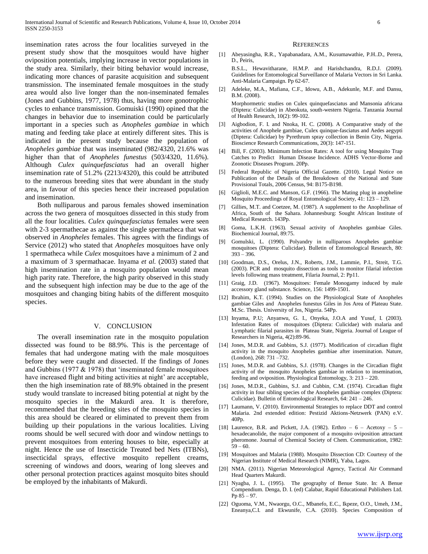insemination rates across the four localities surveyed in the present study show that the mosquitoes would have higher oviposition potentials, implying increase in vector populations in the study area. Similarly, their biting behavior would increase, indicating more chances of parasite acquisition and subsequent transmission. The inseminated female mosquitoes in the study area would also live longer than the non-inseminated females (Jones and Gubbins, 1977, 1978) thus, having more gonotrophic cycles to enhance transmission. Gomuiski (1990) opined that the changes in behavior due to insemination could be particularly important in a species such as *Anopheles gambiae* in which mating and feeding take place at entirely different sites. This is indicated in the present study because the population of *Anopheles gambiae* that was inseminated (982/4320, 21.6% was higher than that of *Anopheles funestus* (503/4320, 11.6%). Although *Culex quinquefasciatus* had an overall higher insemination rate of 51.2% (2213/4320), this could be attributed to the numerous breeding sites that were abundant in the study area, in favour of this species hence their increased population and insemination.

 Both nulliparous and parous females showed insemination across the two genera of mosquitoes dissected in this study from all the four localities. *Culex quinquefasciatus* females were seen with 2-3 spermathecae as against the single spermatheca that was observed in *Anopheles* females. This agrees with the findings of Service (2012) who stated that *Anopheles* mosquitoes have only 1 spermatheca while *Culex* mosquitoes have a minimum of 2 and a maximum of 3 spermathacae. Inyama *et al.* (2003) stated that high insemination rate in a mosquito population would mean high parity rate. Therefore, the high parity observed in this study and the subsequent high infection may be due to the age of the mosquitoes and changing biting habits of the different mosquito species.

#### V. CONCLUSION

 The overall insemination rate in the mosquito population dissected was found to be 88.9%. This is the percentage of females that had undergone mating with the male mosquitoes before they were caught and dissected. If the findings of Jones and Gubbins (1977 & 1978) that "inseminated female mosquitoes have increased flight and biting activities at night' are acceptable, then the high insemination rate of 88.9% obtained in the present study would translate to increased biting potential at night by the mosquito species in the Makurdi area. It is therefore, recommended that the breeding sites of the mosquito species in this area should be cleared or eliminated to prevent them from building up their populations in the various localities. Living rooms should be well secured with door and window nettings to prevent mosquitoes from entering houses to bite, especially at night. Hence the use of Insecticide Treated bed Nets (ITBNs), insecticidal sprays, effective mosquito repellent creams, screening of windows and doors, wearing of long sleeves and other personal protection practices against mosquito bites should be employed by the inhabitants of Makurdi.

#### **REFERENCES**

[1] Abeyasingha, R.R., Yapabanadara, A.M., Kusumawathie, P.H..D., Perera, D., Peiris,

B.S.L., Hewavitharane, H.M.P. and Harishchandra, R.D.J. (2009). Guidelines for Entomological Surveillance of Malaria Vectors in Sri Lanka. Anti-Malaria Campaign. Pp 62-67.

[2] Adeleke, M.A., Mafiana, C.F., Idowu, A.B., Adekunle, M.F. and Dansu, B.M. (2008). Morphormetric studies on Culex quinquefasciatus and Mansonia africana

(Diptera: Culicidae) in Abeokuta, south-western Nigeria. Tanzania Journal of Health Research, 10(2): 99-102.

- [3] Aigbodion, F. I. and Nnoka, H. C. (2008). A Comparative study of the activities of Anophele gambiae, Culex quinque-fasciatus and Aedes aegypti (Diptera: Culicidae) by Pyrethrum spray collection in Benin City, Nigeria. Bioscience Research Communications, 20(3): 147-151.
- [4] Bill, F. (2003). Minimum Infection Rates: A tool for using Mosquito Trap Catches to Predict Human Disease Incidence. ADHS Vector-Borne and Zoonotic Diseases Program. 20Pp.
- [5] Federal Republic of Nigeria Official Gazette. (2010). Legal Notice on Publication of the Details of the Breakdown of the National and State Provisional Totals, 2006 Census, 94: B175-B198.
- [6] Giglioli, M.E.C. and Manson, G.F. (1966). The Mating plug in anopheline Mosquito Proceedings of Royal Entomological Society, 41: 123 – 129.
- [7] Gillies, M.T. and Coetzee, M. (1987). A supplement to the Anophelinae of Africa, South of the Sahara. Johannesburg: Sought African Institute of Medical Research. 143Pp.
- [8] Goma, L.K.H. (1963). Sexual activity of Anopheles gambiae Giles. Biochemical Journal, 89:75.
- Gomulski, L. (1990). Polyandry in nulliparous Anopheles gambiae mosquitoes (Diptera: Culicidae). Bulletin of Entomological Research, 80: 393 – 396.
- [10] Goodman, D.S., Orelus, J.N., Roberts, J.M., Lammie, P.I., Streit, T.G. (2003). PCR and mosquito dissection as tools to monitor filarial infection levels following mass treatment, Filaria Journal, 2: Pp11.
- [11] Graig, J.D. (1967). Mosquitoes: Female Monogamy induced by male accessory gland substance. Science, 156: 1499-1501.
- [12] Ibrahim, K.T. (1994). Studies on the Physiological State of Anopheles gambiae Giles and Anopheles funestus Giles in Jos Area of Plateau State. M.Sc. Thesis. University of Jos, Nigeria. 54Pp.
- [13] Inyama, P.U; Anyanwu, G. I., Onyeka, J.O.A and Yusuf, I. (2003). Infestation Rates of mosquitoes (Diptera: Culicidae) with malaria and Lymphatic filarial parasites in Plateau State, Nigeria. Journal of League of Researchers in Nigeria, 4(2):89-96.
- [14] Jones, M.D.R. and Gubbins, S.J. (1977). Modification of circadian flight activity in the mosquito Anopheles gambiae after insemination. Nature, (London), 268: 731 –732.
- [15] Jones, M.D.R. and Gubbins, S.J. (1978). Changes in the Circadian flight activity of the mosquito Anopheles gambiae in relation to insemination, feeding and oviposition. Physiological Entomology, 3: 213 – 220.
- [16] Jones, M.D.R., Gubbins, S.J. and Cubbin, C.M. (1974). Circadian flight activity in four sibling species of the Anopheles gambiae complex (Diptera: Culicidae). Bulletin of Entomological Research, 64: 241 – 246.
- [17] Laumann, V. (2010). Environmental Strategies to replace DDT and control Malaria. 2nd extended edition: Pestizid Aktions-Netzwerk (PAN) e.V. 40Pp.
- [18] Laurence, B.R. and Pickett, J.A. (1982). Erthro 6 Acetoxy 5 hexadecanolide, the major component of a mosquito oviposition attractant pheromone. Journal of Chemical Society of Chem. Communication, 1982:  $59 - 60.$
- [19] Mosquitoes and Malaria (1988). Mosquito Dissection CD: Courtesy of the Nigerian Institute of Medical Research (NIMR), Yaba, Lagos.
- [20] NMA. (2011). Nigerian Meteorological Agency, Tactical Air Command Head Quarters Makurdi.
- [21] Nyagba, J. L. (1995). The geography of Benue State. In: A Benue Compendium. Denga, D. I. (ed) Calabar, Rapid Educational Publishers Ltd. Pp  $85 - 97$ .
- [22] Oguoma, V.M., Nwaorgu, O.C., Mbanefo, E.C., Ikpeze, O.O., Umeh, J.M., Eneanya,C.I. and Ekwunife, C.A. (2010). Species Composition of